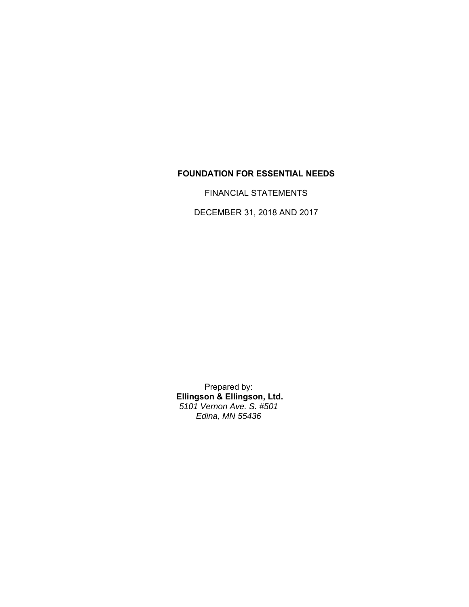### **FOUNDATION FOR ESSENTIAL NEEDS**

FINANCIAL STATEMENTS

DECEMBER 31, 2018 AND 2017

Prepared by:  **Ellingson & Ellingson, Ltd.** *5101 Vernon Ave. S. #501 Edina, MN 55436*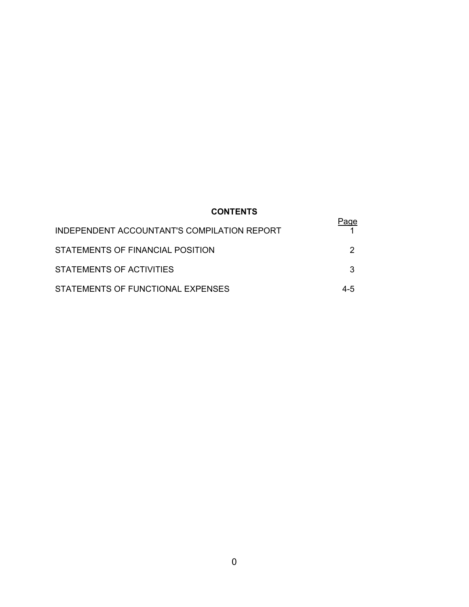# **CONTENTS**

| INDEPENDENT ACCOUNTANT'S COMPILATION REPORT |     |
|---------------------------------------------|-----|
| STATEMENTS OF FINANCIAL POSITION            |     |
| STATEMENTS OF ACTIVITIES                    |     |
| STATEMENTS OF FUNCTIONAL EXPENSES           | 4-5 |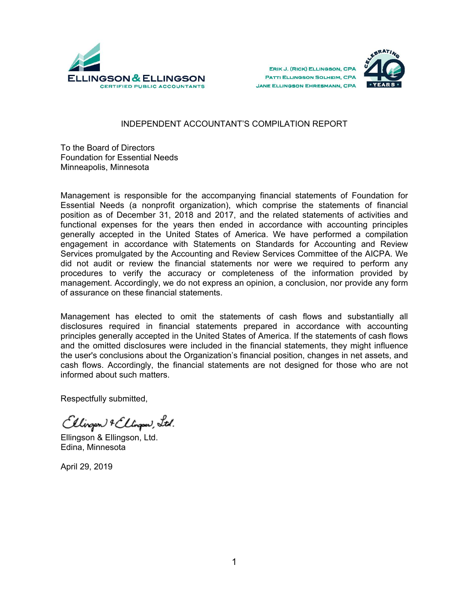





#### INDEPENDENT ACCOUNTANT'S COMPILATION REPORT

To the Board of Directors Foundation for Essential Needs Minneapolis, Minnesota

Management is responsible for the accompanying financial statements of Foundation for Essential Needs (a nonprofit organization), which comprise the statements of financial position as of December 31, 2018 and 2017, and the related statements of activities and functional expenses for the years then ended in accordance with accounting principles generally accepted in the United States of America. We have performed a compilation engagement in accordance with Statements on Standards for Accounting and Review Services promulgated by the Accounting and Review Services Committee of the AICPA. We did not audit or review the financial statements nor were we required to perform any procedures to verify the accuracy or completeness of the information provided by management. Accordingly, we do not express an opinion, a conclusion, nor provide any form of assurance on these financial statements.

Management has elected to omit the statements of cash flows and substantially all disclosures required in financial statements prepared in accordance with accounting principles generally accepted in the United States of America. If the statements of cash flows and the omitted disclosures were included in the financial statements, they might influence the user's conclusions about the Organization's financial position, changes in net assets, and cash flows. Accordingly, the financial statements are not designed for those who are not informed about such matters.

Respectfully submitted,

Ellingen & Ellingen, Ltd.

Ellingson & Ellingson, Ltd. Edina, Minnesota

April 29, 2019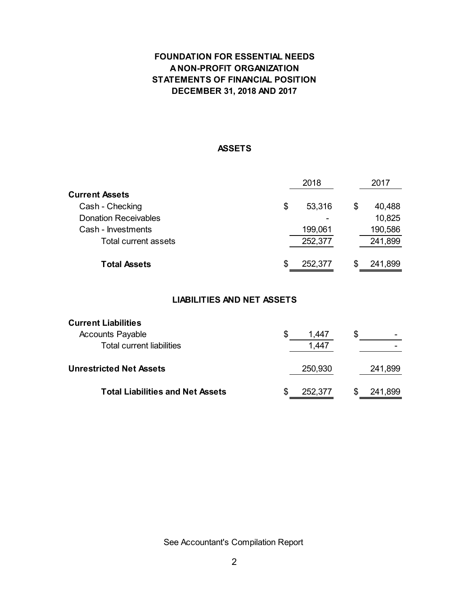# **FOUNDATION FOR ESSENTIAL NEEDS A NON-PROFIT ORGANIZATION STATEMENTS OF FINANCIAL POSITION DECEMBER 31, 2018 AND 2017**

#### **ASSETS**

|                             | 2018          |    |         |
|-----------------------------|---------------|----|---------|
| Current Assets              |               |    |         |
| Cash - Checking             | \$<br>53,316  | \$ | 40,488  |
| <b>Donation Receivables</b> |               |    | 10,825  |
| Cash - Investments          | 199,061       |    | 190,586 |
| <b>Total current assets</b> | 252,377       |    | 241,899 |
| <b>Total Assets</b>         | \$<br>252,377 | S  | 241,899 |

### **LIABILITIES AND NET ASSETS**

| <b>Current Liabilities</b>              |              |              |
|-----------------------------------------|--------------|--------------|
| <b>Accounts Payable</b>                 | \$<br>1.447  | \$           |
| <b>Total current liabilities</b>        | 1,447        |              |
| <b>Unrestricted Net Assets</b>          | 250,930      | 241,899      |
| <b>Total Liabilities and Net Assets</b> | 252,377<br>S | 241,899<br>S |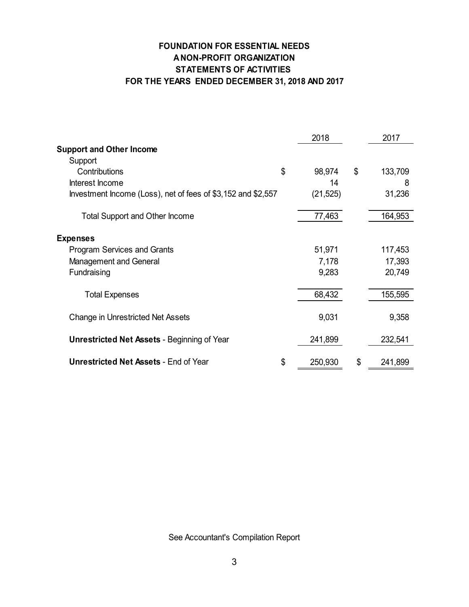# **FOUNDATION FOR ESSENTIAL NEEDS A NON-PROFIT ORGANIZATION STATEMENTS OF ACTIVITIES FOR THE YEARS ENDED DECEMBER 31, 2018 AND 2017**

|                                                              | 2018          | 2017          |
|--------------------------------------------------------------|---------------|---------------|
| <b>Support and Other Income</b>                              |               |               |
| Support                                                      |               |               |
| Contributions                                                | \$<br>98,974  | \$<br>133,709 |
| Interest Income                                              | 14            | 8             |
| Investment Income (Loss), net of fees of \$3,152 and \$2,557 | (21, 525)     | 31,236        |
| <b>Total Support and Other Income</b>                        | 77,463        | 164,953       |
| <b>Expenses</b>                                              |               |               |
| <b>Program Services and Grants</b>                           | 51,971        | 117,453       |
| Management and General                                       | 7,178         | 17,393        |
| Fundraising                                                  | 9,283         | 20,749        |
| <b>Total Expenses</b>                                        | 68,432        | 155,595       |
| <b>Change in Unrestricted Net Assets</b>                     | 9,031         | 9,358         |
| <b>Unrestricted Net Assets - Beginning of Year</b>           | 241,899       | 232,541       |
| <b>Unrestricted Net Assets - End of Year</b>                 | \$<br>250,930 | \$<br>241,899 |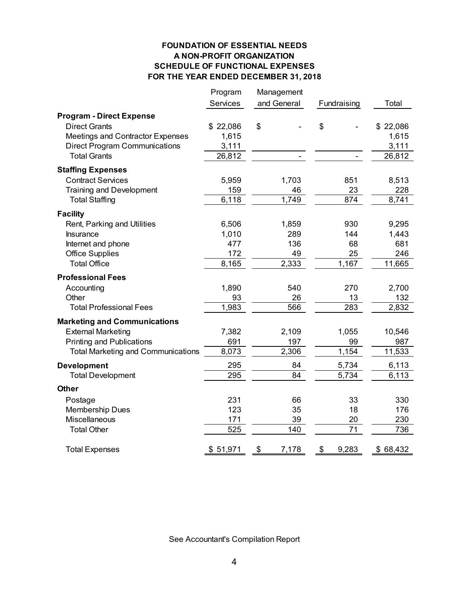#### **FOUNDATION OF ESSENTIAL NEEDS A NON-PROFIT ORGANIZATION SCHEDULE OF FUNCTIONAL EXPENSES FOR THE YEAR ENDED DECEMBER 31, 2018**

|                                           | Program<br>Services | Management<br>and General | Fundraising        | Total    |
|-------------------------------------------|---------------------|---------------------------|--------------------|----------|
|                                           |                     |                           |                    |          |
| <b>Program - Direct Expense</b>           |                     |                           |                    |          |
| <b>Direct Grants</b>                      | \$22,086            | \$                        | \$                 | \$22,086 |
| Meetings and Contractor Expenses          | 1,615               |                           |                    | 1,615    |
| <b>Direct Program Communications</b>      | 3,111               |                           |                    | 3,111    |
| <b>Total Grants</b>                       | 26,812              |                           |                    | 26,812   |
| <b>Staffing Expenses</b>                  |                     |                           |                    |          |
| <b>Contract Services</b>                  | 5,959               | 1,703                     | 851                | 8,513    |
| <b>Training and Development</b>           | 159                 | 46                        | 23                 | 228      |
| <b>Total Staffing</b>                     | 6,118               | 1,749                     | 874                | 8,741    |
| <b>Facility</b>                           |                     |                           |                    |          |
| Rent, Parking and Utilities               | 6,506               | 1,859                     | 930                | 9,295    |
| Insurance                                 | 1,010               | 289                       | 144                | 1,443    |
| Internet and phone                        | 477                 | 136                       | 68                 | 681      |
| <b>Office Supplies</b>                    | 172                 | 49                        | 25                 | 246      |
| <b>Total Office</b>                       | 8,165               | 2,333                     | 1,167              | 11,665   |
| <b>Professional Fees</b>                  |                     |                           |                    |          |
| Accounting                                | 1,890               | 540                       | 270                | 2,700    |
| Other                                     | 93                  | 26                        | 13                 | 132      |
| <b>Total Professional Fees</b>            | 1,983               | 566                       | 283                | 2,832    |
|                                           |                     |                           |                    |          |
| <b>Marketing and Communications</b>       |                     |                           |                    |          |
| <b>External Marketing</b>                 | 7,382               | 2,109                     | 1,055              | 10,546   |
| <b>Printing and Publications</b>          | 691                 | 197                       | 99                 | 987      |
| <b>Total Marketing and Communications</b> | 8,073               | 2,306                     | 1,154              | 11,533   |
| <b>Development</b>                        | 295                 | 84                        | 5,734              | 6,113    |
| <b>Total Development</b>                  | $\overline{295}$    | $\overline{84}$           | $\overline{5,7}34$ | 6,113    |
| <b>Other</b>                              |                     |                           |                    |          |
| Postage                                   | 231                 | 66                        | 33                 | 330      |
| Membership Dues                           | 123                 | 35                        | 18                 | 176      |
| Miscellaneous                             | 171                 | 39                        | 20                 | 230      |
| <b>Total Other</b>                        | 525                 | 140                       | 71                 | 736      |
| <b>Total Expenses</b>                     | \$51,971            | \$<br>7,178               | \$<br>9,283        | \$68,432 |